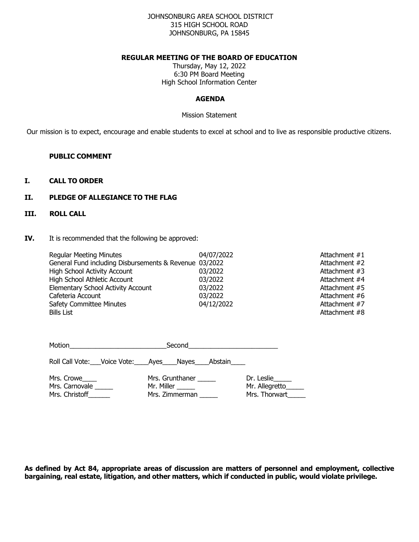#### JOHNSONBURG AREA SCHOOL DISTRICT 315 HIGH SCHOOL ROAD JOHNSONBURG, PA 15845

#### **REGULAR MEETING OF THE BOARD OF EDUCATION**

Thursday, May 12, 2022 6:30 PM Board Meeting High School Information Center

## **AGENDA**

#### Mission Statement

Our mission is to expect, encourage and enable students to excel at school and to live as responsible productive citizens.

### **PUBLIC COMMENT**

## **I. CALL TO ORDER**

### **II. PLEDGE OF ALLEGIANCE TO THE FLAG**

# **III. ROLL CALL**

**IV.** It is recommended that the following be approved:

| <b>Regular Meeting Minutes</b>                         | 04/07/2022 | Attachment #1 |
|--------------------------------------------------------|------------|---------------|
| General Fund including Disbursements & Revenue 03/2022 |            | Attachment #2 |
| <b>High School Activity Account</b>                    | 03/2022    | Attachment #3 |
| High School Athletic Account                           | 03/2022    | Attachment #4 |
| <b>Elementary School Activity Account</b>              | 03/2022    | Attachment #5 |
| Cafeteria Account                                      | 03/2022    | Attachment #6 |
| <b>Safety Committee Minutes</b>                        | 04/12/2022 | Attachment #7 |
| <b>Bills List</b>                                      |            | Attachment #8 |

| Motion<br><u> 1980 - Jan Stein Harry Harry Harry Harry Harry Harry Harry Harry Harry Harry Harry Harry Harry Harry</u> |                                                    |  |
|------------------------------------------------------------------------------------------------------------------------|----------------------------------------------------|--|
| Roll Call Vote: ___ Voice Vote: _____ Ayes _____ Nayes _____ Abstain _____                                             |                                                    |  |
| Mrs. Grunthaner<br>Mr. Miller                                                                                          | Dr. Leslie<br>Mr. Allegretto_____<br>Mrs. Thorwart |  |
|                                                                                                                        | Mrs. Zimmerman                                     |  |

**As defined by Act 84, appropriate areas of discussion are matters of personnel and employment, collective bargaining, real estate, litigation, and other matters, which if conducted in public, would violate privilege.**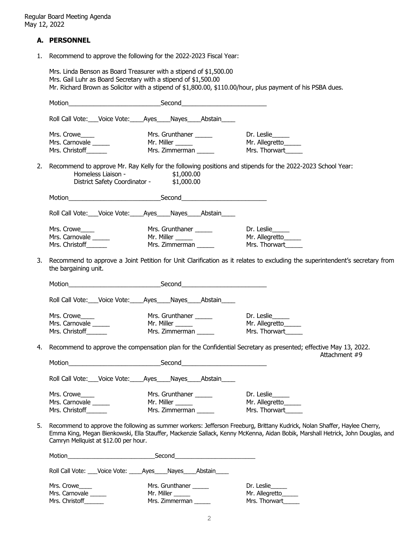### **A. PERSONNEL**

1. Recommend to approve the following for the 2022-2023 Fiscal Year:

Mrs. Linda Benson as Board Treasurer with a stipend of \$1,500.00 Mrs. Gail Luhr as Board Secretary with a stipend of \$1,500.00 Mr. Richard Brown as Solicitor with a stipend of \$1,800.00, \$110.00/hour, plus payment of his PSBA dues. Motion\_\_\_\_\_\_\_\_\_\_\_\_\_\_\_\_\_\_\_\_\_\_\_\_\_\_Second\_\_\_\_\_\_\_\_\_\_\_\_\_\_\_\_\_\_\_\_\_\_\_\_ Roll Call Vote: Voice Vote: Ayes Nayes Abstain Mrs. Crowe\_\_\_\_\_ Mrs. Grunthaner \_\_\_\_\_\_ Dr. Leslie\_\_\_\_\_\_ Mrs. Carnovale \_\_\_\_\_\_\_ Mr. Miller \_\_\_\_\_\_ Mr. Allegretto\_\_\_\_\_\_ Mrs. Christoff\_\_\_\_\_\_\_\_ Mrs. Zimmerman \_\_\_\_\_\_ Mrs. Thorwart\_\_\_\_\_\_ 2. Recommend to approve Mr. Ray Kelly for the following positions and stipends for the 2022-2023 School Year: Homeless Liaison -District Safety Coordinator - \$1,000.00 Motion\_\_\_\_\_\_\_\_\_\_\_\_\_\_\_\_\_\_\_\_\_\_\_\_\_\_Second\_\_\_\_\_\_\_\_\_\_\_\_\_\_\_\_\_\_\_\_\_\_\_\_ Roll Call Vote: \_\_\_ Voice Vote: \_\_\_\_ Ayes \_\_\_\_ Nayes \_\_\_\_ Abstain \_\_\_\_ Mrs. Crowe\_\_\_\_ Mrs. Grunthaner \_\_\_\_\_ Dr. Leslie\_\_\_\_\_ Mrs. Carnovale \_\_\_\_\_\_\_ Mr. Miller \_\_\_\_\_\_ Mr. Allegretto\_\_\_\_\_\_ Mrs. Christoff\_\_\_\_\_\_\_\_ Mrs. Zimmerman \_\_\_\_\_\_ Mrs. Thorwart\_\_\_\_\_\_ 3. Recommend to approve a Joint Petition for Unit Clarification as it relates to excluding the superintendent's secretary from the bargaining unit. Motion\_\_\_\_\_\_\_\_\_\_\_\_\_\_\_\_\_\_\_\_\_\_\_\_\_\_Second\_\_\_\_\_\_\_\_\_\_\_\_\_\_\_\_\_\_\_\_\_\_\_\_ Roll Call Vote: \_\_\_ Voice Vote: \_\_\_\_ Ayes\_\_\_\_ Nayes\_\_\_\_ Abstain\_\_\_\_\_ Mrs. Crowe\_\_\_\_\_ Mrs. Grunthaner \_\_\_\_\_\_ Dr. Leslie\_\_\_\_\_\_ Mrs. Carnovale \_\_\_\_\_\_\_ Mr. Miller \_\_\_\_\_\_ Mr. Allegretto\_\_\_\_\_ Mrs. Christoff\_\_\_\_\_\_\_\_ Mrs. Zimmerman \_\_\_\_\_\_ Mrs. Thorwart\_\_\_\_\_\_ 4. Recommend to approve the compensation plan for the Confidential Secretary as presented; effective May 13, 2022. Attachment #9 Motion\_\_\_\_\_\_\_\_\_\_\_\_\_\_\_\_\_\_\_\_\_\_\_\_\_\_Second\_\_\_\_\_\_\_\_\_\_\_\_\_\_\_\_\_\_\_\_\_\_\_\_ Roll Call Vote:\_\_\_Voice Vote:\_\_\_\_Ayes\_\_\_\_Nayes\_\_\_\_Abstain\_\_\_\_ Mrs. Crowe\_\_\_\_\_ Mrs. Grunthaner \_\_\_\_\_\_ Dr. Leslie\_\_\_\_\_\_ Mrs. Carnovale \_\_\_\_\_\_\_ Mr. Miller \_\_\_\_\_\_ Mr. Allegretto\_\_\_\_\_\_ Mrs. Christoff\_\_\_\_\_\_\_\_ Mrs. Zimmerman \_\_\_\_\_\_ Mrs. Thorwart\_\_\_\_\_\_ 5. Recommend to approve the following as summer workers: Jefferson Freeburg, Brittany Kudrick, Nolan Shaffer, Haylee Cherry, Emma King, Megan Bienkowski, Ella Stauffer, Mackenzie Sallack, Kenny McKenna, Aidan Bobik, Marshall Hetrick, John Douglas, and Camryn Mellquist at \$12.00 per hour. Motion\_\_\_\_\_\_\_\_\_\_\_\_\_\_\_\_\_\_\_\_\_\_\_\_\_\_Second\_\_\_\_\_\_\_\_\_\_\_\_\_\_\_\_\_\_\_\_\_\_\_\_ Roll Call Vote: \_\_\_Voice Vote: \_\_\_\_Ayes\_\_\_\_Nayes\_\_\_\_Abstain\_\_\_\_ Mrs. Crowe\_\_\_\_\_ Mrs. Grunthaner \_\_\_\_\_\_ Dr. Leslie\_\_\_\_\_\_ Mrs. Carnovale \_\_\_\_\_ Mr. Miller \_\_\_\_\_ Mr. Allegretto\_\_\_\_\_ Mrs. Christoff\_\_\_\_\_\_\_ Mrs. Zimmerman \_\_\_\_\_\_ Mrs. Thorwart\_\_\_\_\_\_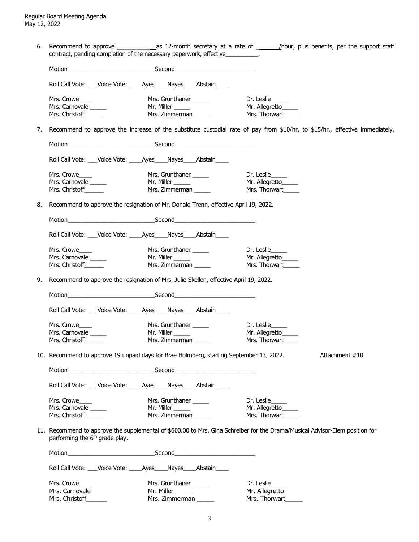6. Recommend to approve \_\_\_\_\_\_\_\_\_\_ \_as 12-month secretary at a rate of \_\_\_\_\_\_\_/hour, plus benefits, per the support staff contract, pending completion of the necessary paperwork, effective\_\_\_\_\_\_\_\_\_\_.

|    |                                                                              | Roll Call Vote: ___Voice Vote: _____Ayes____Nayes____Abstain____                                                                |                                                                                                                              |
|----|------------------------------------------------------------------------------|---------------------------------------------------------------------------------------------------------------------------------|------------------------------------------------------------------------------------------------------------------------------|
|    | Mrs. Crowe                                                                   | Mrs. Grunthaner ______                                                                                                          | Dr. Leslie                                                                                                                   |
|    | Mrs. Carnovale                                                               |                                                                                                                                 | Mr. Allegretto                                                                                                               |
|    | Mrs. Christoff______                                                         | Mr. Miller ______<br>Mrs. Zimmerman ______                                                                                      | Mrs. Thorwart                                                                                                                |
| 7. |                                                                              |                                                                                                                                 | Recommend to approve the increase of the substitute custodial rate of pay from \$10/hr. to \$15/hr., effective immediately.  |
|    |                                                                              |                                                                                                                                 |                                                                                                                              |
|    |                                                                              | Roll Call Vote: ___Voice Vote: _____Ayes ____Nayes ____Abstain                                                                  |                                                                                                                              |
|    |                                                                              |                                                                                                                                 |                                                                                                                              |
|    | Mrs. Crowe_____                                                              | Mrs. Grunthaner ______                                                                                                          | Dr. Leslie                                                                                                                   |
|    | Mrs. Carnovale                                                               | Mr. Miller ______                                                                                                               | Mr. Allegretto                                                                                                               |
|    | Mrs. Christoff______                                                         | Mrs. Zimmerman ______                                                                                                           | Mrs. Thorwart                                                                                                                |
| 8. |                                                                              | Recommend to approve the resignation of Mr. Donald Trenn, effective April 19, 2022.                                             |                                                                                                                              |
|    |                                                                              |                                                                                                                                 |                                                                                                                              |
|    |                                                                              | Roll Call Vote: ___Voice Vote: _____Ayes____Nayes____Abstain____                                                                |                                                                                                                              |
|    | Mrs. Crowe                                                                   | Mrs. Grunthaner ______                                                                                                          | Dr. Leslie                                                                                                                   |
|    | Mrs. Carnovale                                                               | Mr. Miller ______                                                                                                               | Mr. Allegretto                                                                                                               |
|    | Mrs. Christoff                                                               | Mrs. Zimmerman                                                                                                                  | Mrs. Thorwart                                                                                                                |
|    |                                                                              |                                                                                                                                 |                                                                                                                              |
| 9. |                                                                              | Recommend to approve the resignation of Mrs. Julie Skellen, effective April 19, 2022.                                           |                                                                                                                              |
|    |                                                                              |                                                                                                                                 |                                                                                                                              |
|    |                                                                              | Roll Call Vote: ___Voice Vote: _____Ayes____Nayes____Abstain____                                                                |                                                                                                                              |
|    | Mrs. Crowe                                                                   | Mrs. Grunthaner _____                                                                                                           | Dr. Leslie                                                                                                                   |
|    | Mrs. Carnovale                                                               | Mr. Miller _____                                                                                                                | Mr. Allegretto                                                                                                               |
|    | Mrs. Christoff______                                                         | Mrs. Zimmerman                                                                                                                  | Mrs. Thorwart                                                                                                                |
|    |                                                                              |                                                                                                                                 |                                                                                                                              |
|    |                                                                              | 10. Recommend to approve 19 unpaid days for Brae Holmberg, starting September 13, 2022.                                         | Attachment #10                                                                                                               |
|    | <u> 1989 - Johann Barn, mars eta bainar eta idazlea (h. 1989).</u><br>Motion | Second<br><u> 1989 - Johann John Stone, mars eta industrial eta industrial eta industrial eta industrial eta industrial eta</u> |                                                                                                                              |
|    | Roll Call Vote: ___Voice Vote: _____Ayes ____Nayes ____Abstain ___           |                                                                                                                                 |                                                                                                                              |
|    | Mrs. Crowe                                                                   | Mrs. Grunthaner ______                                                                                                          | Dr. Leslie                                                                                                                   |
|    | Mrs. Carnovale                                                               | Mr. Miller _____                                                                                                                | Mr. Allegretto                                                                                                               |
|    | Mrs. Christoff                                                               | Mrs. Zimmerman                                                                                                                  | Mrs. Thorwart                                                                                                                |
|    | performing the 6 <sup>th</sup> grade play.                                   |                                                                                                                                 | 11. Recommend to approve the supplemental of \$600.00 to Mrs. Gina Schreiber for the Drama/Musical Advisor-Elem position for |
|    |                                                                              | Motion <b>Example 2018</b> Second <b>Example 2018</b> Second                                                                    |                                                                                                                              |
|    |                                                                              | Roll Call Vote: ___Voice Vote: ____Ayes____Nayes____Abstain____                                                                 |                                                                                                                              |
|    | Mrs. Crowe                                                                   | Mrs. Grunthaner ______                                                                                                          | Dr. Leslie                                                                                                                   |
|    | Mrs. Carnovale                                                               | Mr. Miller ______                                                                                                               | Mr. Allegretto                                                                                                               |
|    | Mrs. Christoff______                                                         | Mrs. Zimmerman                                                                                                                  | Mrs. Thorwart                                                                                                                |
|    |                                                                              |                                                                                                                                 |                                                                                                                              |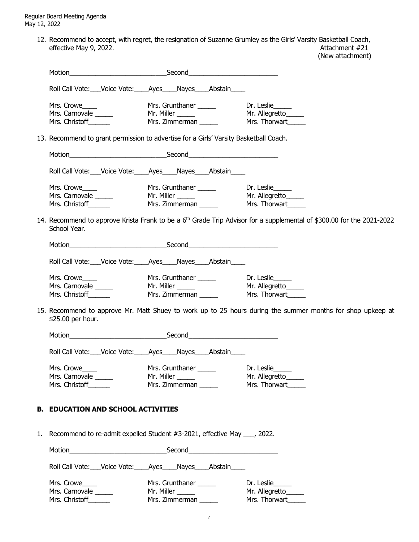> 12. Recommend to accept, with regret, the resignation of Suzanne Grumley as the Girls' Varsity Basketball Coach, effective May 9, 2022. Attachment #21

(New attachment)

| Motion                                        |                                                                                       |                                                                                                                         |
|-----------------------------------------------|---------------------------------------------------------------------------------------|-------------------------------------------------------------------------------------------------------------------------|
|                                               | Roll Call Vote: Voice Vote: _____ Ayes _____ Nayes _____ Abstain ____                 |                                                                                                                         |
| Mrs. Crowe                                    |                                                                                       |                                                                                                                         |
| Mrs. Carnovale                                |                                                                                       | Mr. Allegretto                                                                                                          |
| Mrs. Christoff_______                         | Mr. Miller ______<br>Mrs. Zimmerman ______                                            | Mrs. Thorwart                                                                                                           |
|                                               |                                                                                       |                                                                                                                         |
|                                               | 13. Recommend to grant permission to advertise for a Girls' Varsity Basketball Coach. |                                                                                                                         |
|                                               |                                                                                       |                                                                                                                         |
|                                               | Roll Call Vote: Voice Vote: Ayes Nayes Abstain                                        |                                                                                                                         |
| Mrs. Crowe____                                | Mrs. Grunthaner<br>Mr. Miller<br>Mrs. Zimmorer                                        |                                                                                                                         |
| Mrs. Carnovale ______                         |                                                                                       | Mr. Allegretto_____                                                                                                     |
| Mrs. Christoff_______                         |                                                                                       | Mrs. Thorwart                                                                                                           |
| School Year.                                  |                                                                                       | 14. Recommend to approve Krista Frank to be a $6th$ Grade Trip Advisor for a supplemental of \$300.00 for the 2021-2022 |
|                                               |                                                                                       |                                                                                                                         |
|                                               | Roll Call Vote: Voice Vote: Ayes Nayes Abstain                                        |                                                                                                                         |
| Mrs. Crowe                                    |                                                                                       |                                                                                                                         |
| Mrs. Carnovale ______                         | Mrs. Grunthaner <u>Communications</u><br>Mr. Miller Mr. Allegretto                    | Mr. Allegretto______                                                                                                    |
| Mrs. Christoff _______                        | Mrs. Piller _______<br>Mrs. Zimmerman ______                                          | Mrs. Thorwart                                                                                                           |
| \$25.00 per hour.                             |                                                                                       | 15. Recommend to approve Mr. Matt Shuey to work up to 25 hours during the summer months for shop upkeep at              |
|                                               |                                                                                       |                                                                                                                         |
|                                               | Roll Call Vote: Voice Vote: Ayes Nayes Abstain                                        |                                                                                                                         |
| Mrs. Crowe                                    | Mrs. Grunthaner _______                                                               | Dr. Leslie                                                                                                              |
| Mrs. Carnovale _____                          |                                                                                       |                                                                                                                         |
| Mrs. Christoff______                          | Mrs. Piller _______<br>Mrs. Zimmerman ______                                          | Mrs. Thorwart                                                                                                           |
|                                               |                                                                                       |                                                                                                                         |
| <b>B. EDUCATION AND SCHOOL ACTIVITIES</b>     |                                                                                       |                                                                                                                         |
|                                               | 1. Recommend to re-admit expelled Student #3-2021, effective May ___, 2022.           |                                                                                                                         |
|                                               |                                                                                       |                                                                                                                         |
|                                               | Roll Call Vote: ___ Voice Vote: _____ Ayes _____ Nayes _____ Abstain _____            |                                                                                                                         |
| Mrs. Crowe Mrs. Grunthaner Mrs. On Dr. Leslie |                                                                                       |                                                                                                                         |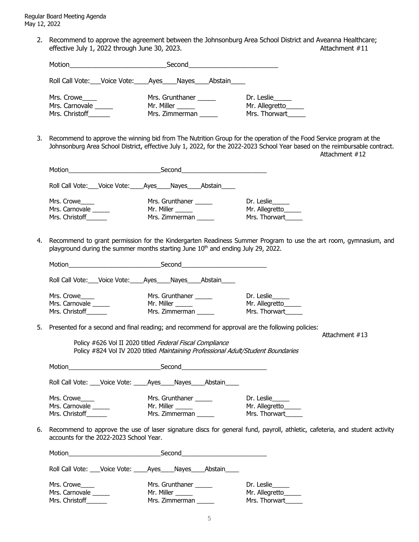> 2. Recommend to approve the agreement between the Johnsonburg Area School District and Aveanna Healthcare; effective July 1, 2022 through June 30, 2023. Attachment #11

| Motion                                         | Second_____________________________                                        |                                               |
|------------------------------------------------|----------------------------------------------------------------------------|-----------------------------------------------|
|                                                | Roll Call Vote: ___ Voice Vote: _____ Ayes _____ Nayes _____ Abstain _____ |                                               |
| Mrs. Crowe<br>Mrs. Carnovale<br>Mrs. Christoff | Mrs. Grunthaner<br>Mr. Miller<br>Mrs. Zimmerman                            | Dr. Leslie<br>Mr. Allegretto<br>Mrs. Thorwart |

3. Recommend to approve the winning bid from The Nutrition Group for the operation of the Food Service program at the Johnsonburg Area School District, effective July 1, 2022, for the 2022-2023 School Year based on the reimbursable contract. Attachment #12

| Motion<br>Second                                         |                                                                            |  |                                                 |  |                                                   |
|----------------------------------------------------------|----------------------------------------------------------------------------|--|-------------------------------------------------|--|---------------------------------------------------|
|                                                          | Roll Call Vote: ___ Voice Vote: _____ Ayes _____ Nayes _____ Abstain _____ |  |                                                 |  |                                                   |
| Mrs. Crowe____<br>Mrs. Carnovale<br>Mrs. Christoff______ |                                                                            |  | Mrs. Grunthaner<br>Mr. Miller<br>Mrs. Zimmerman |  | Dr. Leslie<br>Mr. Allegretto____<br>Mrs. Thorwart |

4. Recommend to grant permission for the Kindergarten Readiness Summer Program to use the art room, gymnasium, and playground during the summer months starting June 10<sup>th</sup> and ending July 29, 2022.

|    | Roll Call Vote: ___ Voice Vote: ____ Ayes ____ Nayes ____ Abstain ____ |                                                                                                                                                                 |                                                                                                                            |  |
|----|------------------------------------------------------------------------|-----------------------------------------------------------------------------------------------------------------------------------------------------------------|----------------------------------------------------------------------------------------------------------------------------|--|
|    | Mrs. Crowe_____<br>Mrs. Carnovale ______                               | Mrs. Grunthaner ______<br>Mr. Miller _______                                                                                                                    | Dr. Leslie<br>Mr. Allegretto                                                                                               |  |
|    | Mrs. Christoff                                                         | Mrs. Zimmerman                                                                                                                                                  | Mrs. Thorwart                                                                                                              |  |
|    |                                                                        | 5. Presented for a second and final reading; and recommend for approval are the following policies:<br>Policy #626 Vol II 2020 titled Federal Fiscal Compliance | Attachment $#13$                                                                                                           |  |
|    |                                                                        | Policy #824 Vol IV 2020 titled Maintaining Professional Adult/Student Boundaries                                                                                |                                                                                                                            |  |
|    |                                                                        |                                                                                                                                                                 |                                                                                                                            |  |
|    |                                                                        | Roll Call Vote: Voice Vote: Ayes Nayes Abstain                                                                                                                  |                                                                                                                            |  |
|    | Mrs. Crowe______<br>Mrs. Carnovale _____<br>Mrs. Christoff             | Mrs. Grunthaner<br>Mr. Miller ______<br>Mrs. Zimmerman                                                                                                          | Dr. Leslie<br>Mr. Allegretto<br>Mrs. Thorwart                                                                              |  |
| 6. | accounts for the 2022-2023 School Year.                                |                                                                                                                                                                 | Recommend to approve the use of laser signature discs for general fund, payroll, athletic, cafeteria, and student activity |  |
|    |                                                                        |                                                                                                                                                                 |                                                                                                                            |  |
|    |                                                                        | Roll Call Vote: ___ Voice Vote: ____ Ayes ___ Nayes ___ Abstain ____                                                                                            |                                                                                                                            |  |
|    | Mrs. Crowe                                                             | Mrs. Grunthaner ______                                                                                                                                          | Dr. Leslie                                                                                                                 |  |
|    | Mrs. Carnovale ______<br>Mrs. Christoff                                | Mr. Miller ______<br>Mrs. Zimmerman                                                                                                                             | Mr. Allegretto<br>Mrs. Thorwart                                                                                            |  |
|    |                                                                        |                                                                                                                                                                 |                                                                                                                            |  |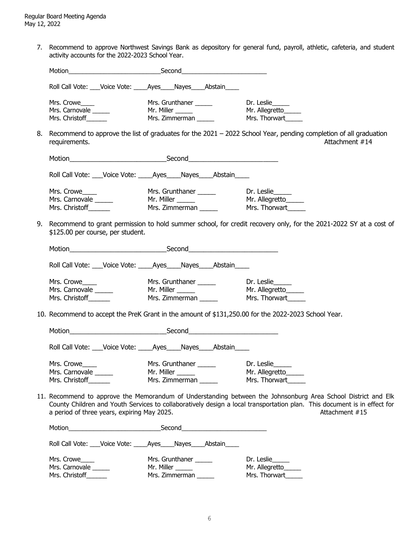7. Recommend to approve Northwest Savings Bank as depository for general fund, payroll, athletic, cafeteria, and student activity accounts for the 2022-2023 School Year.

|                                                             | Roll Call Vote: Voice Vote: Ayes Nayes Abstain                       |                                                                                                                                                                                                                                                             |
|-------------------------------------------------------------|----------------------------------------------------------------------|-------------------------------------------------------------------------------------------------------------------------------------------------------------------------------------------------------------------------------------------------------------|
| Mrs. Crowe<br>Mrs. Carnovale ______<br>Mrs. Christoff______ |                                                                      | Mrs. Thorwart                                                                                                                                                                                                                                               |
| requirements.                                               |                                                                      | 8. Recommend to approve the list of graduates for the 2021 – 2022 School Year, pending completion of all graduation<br>Attachment #14                                                                                                                       |
|                                                             |                                                                      |                                                                                                                                                                                                                                                             |
|                                                             | Roll Call Vote: ___Voice Vote: _____Ayes____Nayes____Abstain____     |                                                                                                                                                                                                                                                             |
| Mrs. Crowe<br>Mrs. Carnovale<br>Mrs. Christoff______        | Mrs. Grunthaner __<br>Mr. Miller ________<br>Mrs. Zimmerman _        | 9. Recommend to grant permission to hold summer school, for credit recovery only, for the 2021-2022 SY at a cost of                                                                                                                                         |
| \$125.00 per course, per student.                           |                                                                      |                                                                                                                                                                                                                                                             |
|                                                             |                                                                      |                                                                                                                                                                                                                                                             |
|                                                             | Roll Call Vote: ___Voice Vote: _____Ayes____Nayes____Abstain____     |                                                                                                                                                                                                                                                             |
| Mrs. Crowe_____<br>Mrs. Carnovale                           |                                                                      |                                                                                                                                                                                                                                                             |
| Mrs. Christoff _______                                      |                                                                      | Mrs. Thorwart                                                                                                                                                                                                                                               |
|                                                             |                                                                      | 10. Recommend to accept the PreK Grant in the amount of \$131,250.00 for the 2022-2023 School Year.                                                                                                                                                         |
|                                                             |                                                                      |                                                                                                                                                                                                                                                             |
|                                                             | Roll Call Vote: ___Voice Vote: _____Ayes____Nayes____Abstain____     |                                                                                                                                                                                                                                                             |
| Mrs. Crowe<br>Mrs. Carnovale ______<br>Mrs. Christoff       | Mrs. Grunthaner ______<br>Mr. Miller <b>Martin</b><br>Mrs. Zimmerman | Dr. Leslie<br>Mr. Allegretto______<br>Mrs. Thorwart                                                                                                                                                                                                         |
| a period of three years, expiring May 2025.                 |                                                                      | 11. Recommend to approve the Memorandum of Understanding between the Johnsonburg Area School District and Elk<br>County Children and Youth Services to collaboratively design a local transportation plan. This document is in effect for<br>Attachment #15 |
|                                                             |                                                                      |                                                                                                                                                                                                                                                             |
|                                                             | Roll Call Vote: Voice Vote: Ayes Nayes Abstain                       |                                                                                                                                                                                                                                                             |
| Mrs. Crowe<br>Mrs. Carnovale                                | Mrs. Grunthaner ______                                               | Dr. Leslie_____<br>Mr. Allegretto______                                                                                                                                                                                                                     |
| Mrs. Christoff _______                                      |                                                                      | Mrs. Thorwart                                                                                                                                                                                                                                               |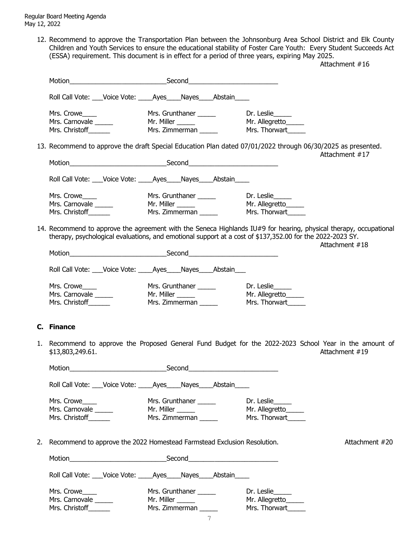> 12. Recommend to approve the Transportation Plan between the Johnsonburg Area School District and Elk County Children and Youth Services to ensure the educational stability of Foster Care Youth: Every Student Succeeds Act (ESSA) requirement. This document is in effect for a period of three years, expiring May 2025.

> Attachment #16 Motion\_\_\_\_\_\_\_\_\_\_\_\_\_\_\_\_\_\_\_\_\_\_\_\_\_\_Second\_\_\_\_\_\_\_\_\_\_\_\_\_\_\_\_\_\_\_\_\_\_\_\_ Roll Call Vote: \_\_\_Voice Vote: \_\_\_\_Ayes\_\_\_\_Nayes\_\_\_\_Abstain\_\_\_\_ Mrs. Crowe\_\_\_\_\_ https://write.org/mrs. Grunthaner \_\_\_\_\_\_ https://write.org/mrs. Grunthaner \_\_\_\_\_\_\_ Dr. Leslie\_\_\_\_ Mrs. Carnovale \_\_\_\_\_\_\_ Mr. Miller \_\_\_\_\_\_\_ Mr. Allegretto\_\_\_\_\_\_ Mrs. Christoff\_\_\_\_\_\_\_\_ Mrs. Zimmerman \_\_\_\_\_\_ Mrs. Thorwart\_\_\_\_\_ 13. Recommend to approve the draft Special Education Plan dated 07/01/2022 through 06/30/2025 as presented. Attachment #17 Motion **Example 20** Second Second Roll Call Vote: \_\_\_Voice Vote: \_\_\_\_Ayes\_\_\_\_Nayes\_\_\_\_Abstain\_\_\_\_ Mrs. Crowe\_\_\_\_\_ https://write.org/mrs. Grunthaner \_\_\_\_\_\_ https://write.org/mrs. Grunthaner \_\_\_\_\_\_\_ Dr. Leslie\_\_\_\_ Mrs. Carnovale \_\_\_\_\_\_\_ Mr. Miller \_\_\_\_\_\_\_ Mr. Allegretto\_\_\_\_\_\_ Mrs. Christoff\_\_\_\_\_\_\_\_ Mrs. Zimmerman \_\_\_\_\_\_ Mrs. Thorwart\_\_\_\_\_\_ 14. Recommend to approve the agreement with the Seneca Highlands IU#9 for hearing, physical therapy, occupational therapy, psychological evaluations, and emotional support at a cost of \$137,352.00 for the 2022-2023 SY. Attachment #18 Motion\_\_\_\_\_\_\_\_\_\_\_\_\_\_\_\_\_\_\_\_\_\_\_\_\_\_Second\_\_\_\_\_\_\_\_\_\_\_\_\_\_\_\_\_\_\_\_\_\_\_\_ Roll Call Vote: \_\_\_Voice Vote: \_\_\_\_Ayes\_\_\_\_Nayes\_\_\_\_Abstain\_\_\_ Mrs. Crowe\_\_\_\_\_ Mrs. Grunthaner \_\_\_\_\_\_ Dr. Leslie\_\_\_\_\_\_ Mrs. Carnovale \_\_\_\_\_\_\_ Mr. Miller \_\_\_\_\_\_ Mr. Allegretto\_\_\_\_\_\_ Mrs. Christoff\_\_\_\_\_\_\_ Mrs. Zimmerman \_\_\_\_\_\_ Mrs. Thorwart\_\_\_\_\_\_ **C. Finance**

> 1. Recommend to approve the Proposed General Fund Budget for the 2022-2023 School Year in the amount of \$13,803,249.61. Attachment #19

|                                                   | Roll Call Vote: Voice Vote: Ayes Nayes Abstain                             |                                                    |                |
|---------------------------------------------------|----------------------------------------------------------------------------|----------------------------------------------------|----------------|
| Mrs. Crowe<br>Mrs. Carnovale<br>Mrs. Christoff    | Mrs. Grunthaner<br>Mr. Miller ______<br>Mrs. Zimmerman                     | Dr. Leslie<br>Mr. Allegretto_____<br>Mrs. Thorwart |                |
|                                                   | 2. Recommend to approve the 2022 Homestead Farmstead Exclusion Resolution. |                                                    | Attachment #20 |
| Motion ________________________                   |                                                                            |                                                    |                |
| Roll Call Vote: ___Voice Vote: ____Ayes____Nayes_ | Abstain                                                                    |                                                    |                |

7 Mrs. Crowe\_\_\_\_\_ Mrs. Grunthaner \_\_\_\_\_\_ Dr. Leslie\_\_\_\_\_\_ Mrs. Carnovale \_\_\_\_\_\_\_ Mr. Miller \_\_\_\_\_\_ Mr. Allegretto\_\_\_\_\_\_ Mrs. Christoff\_\_\_\_\_\_\_ Mrs. Zimmerman \_\_\_\_\_\_ Mrs. Thorwart\_\_\_\_\_\_